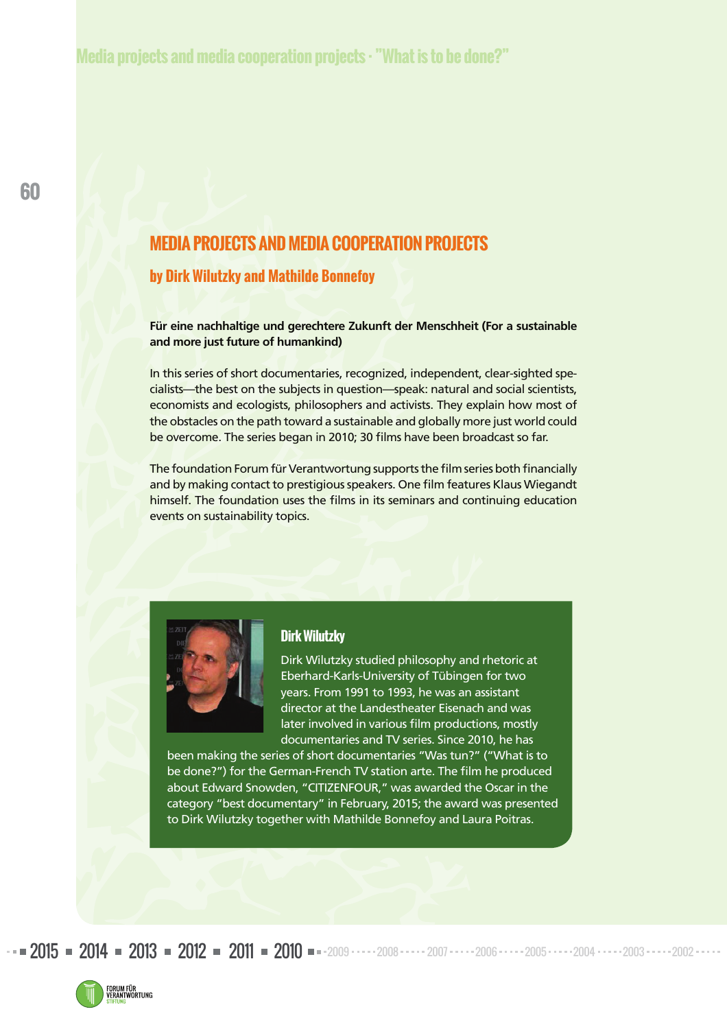# **MEDIA PROJECTS AND MEDIA COOPERATION PROJECTS**

#### **by Dirk Wilutzky and Mathilde Bonnefoy**

**Für eine nachhaltige und gerechtere Zukunft der Menschheit (For a sustainable and more just future of humankind)** 

In this series of short documentaries, recognized, independent, clear-sighted specialists—the best on the subjects in question—speak: natural and social scientists, economists and ecologists, philosophers and activists. They explain how most of the obstacles on the path toward a sustainable and globally more just world could be overcome. The series began in 2010; 30 films have been broadcast so far.

The foundation Forum für Verantwortung supports the film series both financially and by making contact to prestigious speakers. One film features Klaus Wiegandt himself. The foundation uses the films in its seminars and continuing education events on sustainability topics.



#### **Dirk Wilutzky**

Dirk Wilutzky studied philosophy and rhetoric at Eberhard-Karls-University of Tübingen for two years. From 1991 to 1993, he was an assistant director at the Landestheater Eisenach and was later involved in various film productions, mostly documentaries and TV series. Since 2010, he has

been making the series of short documentaries "Was tun?" ("What is to be done?") for the German-French TV station arte. The film he produced about Edward Snowden, "CITIZENFOUR," was awarded the Oscar in the category "best documentary" in February, 2015; the award was presented to Dirk Wilutzky together with Mathilde Bonnefoy and Laura Poitras.

 $2015$  =  $2014$  =  $2013$  =  $2012$  =  $2011$  =  $2010$  =  $-2009$   $\cdots$   $2008$   $\cdots$   $2006$   $\cdots$   $2005$   $\cdots$   $2004$   $\cdots$   $2003$   $\cdots$   $2002$ 

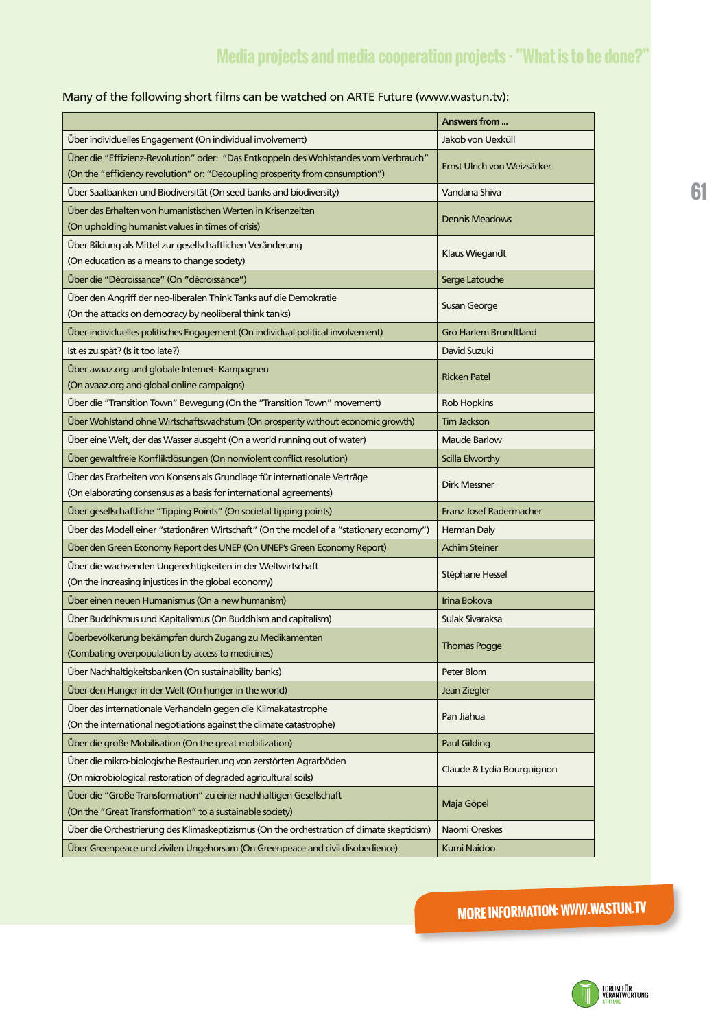#### Many of the following short films can be watched on ARTE Future (www.wastun.tv):

|                                                                                                                                                                       | Answers from                   |
|-----------------------------------------------------------------------------------------------------------------------------------------------------------------------|--------------------------------|
| Über individuelles Engagement (On individual involvement)                                                                                                             | Jakob von Uexküll              |
| Über die "Effizienz-Revolution" oder: "Das Entkoppeln des Wohlstandes vom Verbrauch"<br>(On the "efficiency revolution" or: "Decoupling prosperity from consumption") | Ernst Ulrich von Weizsäcker    |
| Über Saatbanken und Biodiversität (On seed banks and biodiversity)                                                                                                    | Vandana Shiva                  |
| Über das Erhalten von humanistischen Werten in Krisenzeiten<br>(On upholding humanist values in times of crisis)                                                      | <b>Dennis Meadows</b>          |
| Über Bildung als Mittel zur gesellschaftlichen Veränderung<br>(On education as a means to change society)                                                             | Klaus Wiegandt                 |
| Über die "Décroissance" (On "décroissance")                                                                                                                           | Serge Latouche                 |
| Über den Angriff der neo-liberalen Think Tanks auf die Demokratie<br>(On the attacks on democracy by neoliberal think tanks)                                          | Susan George                   |
| Über individuelles politisches Engagement (On individual political involvement)                                                                                       | <b>Gro Harlem Brundtland</b>   |
| Ist es zu spät? (Is it too late?)                                                                                                                                     | David Suzuki                   |
| Über avaaz.org und globale Internet- Kampagnen<br>(On avaaz.org and global online campaigns)                                                                          | <b>Ricken Patel</b>            |
| Über die "Transition Town" Bewegung (On the "Transition Town" movement)                                                                                               | <b>Rob Hopkins</b>             |
| Über Wohlstand ohne Wirtschaftswachstum (On prosperity without economic growth)                                                                                       | <b>Tim Jackson</b>             |
| Über eine Welt, der das Wasser ausgeht (On a world running out of water)                                                                                              | <b>Maude Barlow</b>            |
| Über gewaltfreie Konfliktlösungen (On nonviolent conflict resolution)                                                                                                 | Scilla Elworthy                |
| Über das Erarbeiten von Konsens als Grundlage für internationale Verträge<br>(On elaborating consensus as a basis for international agreements)                       | <b>Dirk Messner</b>            |
| Über gesellschaftliche "Tipping Points" (On societal tipping points)                                                                                                  | <b>Franz Josef Radermacher</b> |
| Über das Modell einer "stationären Wirtschaft" (On the model of a "stationary economy")                                                                               | Herman Daly                    |
| Über den Green Economy Report des UNEP (On UNEP's Green Economy Report)                                                                                               | <b>Achim Steiner</b>           |
| Über die wachsenden Ungerechtigkeiten in der Weltwirtschaft<br>(On the increasing injustices in the global economy)                                                   | Stéphane Hessel                |
| Über einen neuen Humanismus (On a new humanism)                                                                                                                       | Irina Bokova                   |
| Über Buddhismus und Kapitalismus (On Buddhism and capitalism)                                                                                                         | Sulak Sivaraksa                |
| Überbevölkerung bekämpfen durch Zugang zu Medikamenten<br>(Combating overpopulation by access to medicines)                                                           | <b>Thomas Pogge</b>            |
| Über Nachhaltigkeitsbanken (On sustainability banks)                                                                                                                  | Peter Blom                     |
| Über den Hunger in der Welt (On hunger in the world)                                                                                                                  | Jean Ziegler                   |
| Über das internationale Verhandeln gegen die Klimakatastrophe<br>(On the international negotiations against the climate catastrophe)                                  | Pan Jiahua                     |
| Über die große Mobilisation (On the great mobilization)                                                                                                               | <b>Paul Gilding</b>            |
| Über die mikro-biologische Restaurierung von zerstörten Agrarböden<br>(On microbiological restoration of degraded agricultural soils)                                 | Claude & Lydia Bourguignon     |
| Über die "Große Transformation" zu einer nachhaltigen Gesellschaft<br>(On the "Great Transformation" to a sustainable society)                                        | Maja Göpel                     |
| Über die Orchestrierung des Klimaskeptizismus (On the orchestration of climate skepticism)                                                                            | Naomi Oreskes                  |
| Über Greenpeace und zivilen Ungehorsam (On Greenpeace and civil disobedience)                                                                                         | Kumi Naidoo                    |

**MORE INFORMATION: WWW.WASTUN.TV**

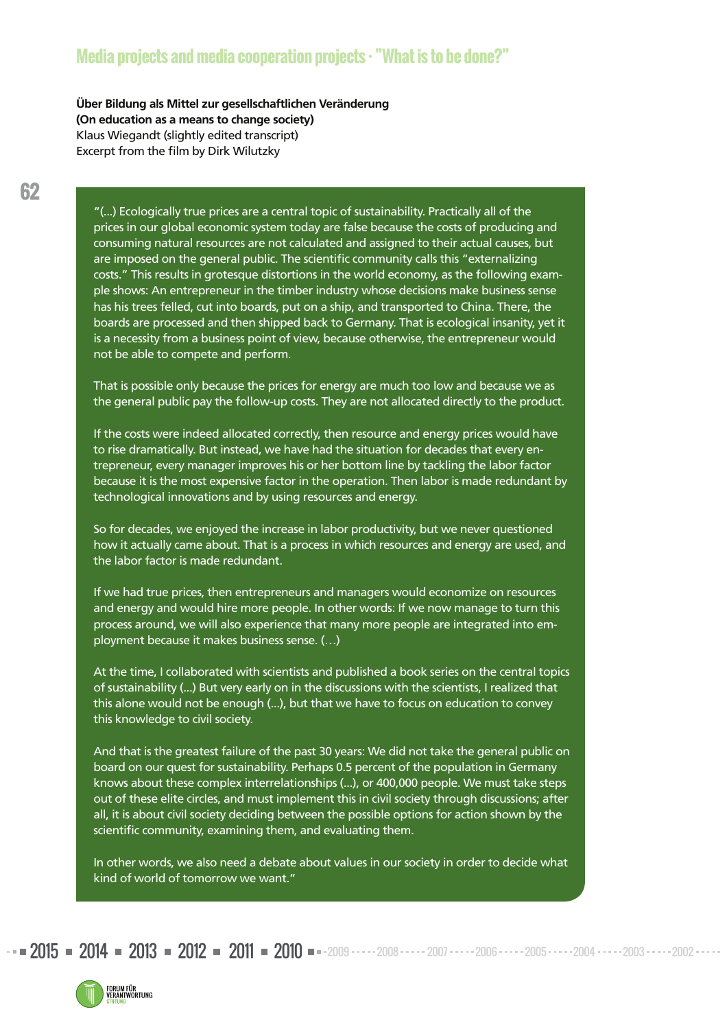## **Media projects and media cooperation projects · "What is to be done?"**

**Über Bildung als Mittel zur gesellschaftlichen Veränderung (On education as a means to change society)**  Klaus Wiegandt (slightly edited transcript) Excerpt from the film by Dirk Wilutzky

"(...) Ecologically true prices are a central topic of sustainability. Practically all of the prices in our global economic system today are false because the costs of producing and consum ing natural resources are not calculated and assigned to their actual causes, but are imposed on the general public. The scientific community calls this "externalizing costs." This results in grotesque distortions in the world economy, as the following example shows: An entrepreneur in the timber industry whose decisions make business sense has his trees felled, cut into boards, put on a ship, and transported to China. There, the boards are processed and then shipped back to Germany. That is ecological insanity, yet it is a necessity from a business point of view, because otherwise, the entrepreneur would not be able to compete and perform.

That is possible only because the prices for energy are much too low and because we as the general public pay the follow-up costs. They are not allocated directly to the product.

If the costs were indeed allocated correctly, then resource and energy prices would have to rise dramatically. But instead, we have had the situation for decades that every entrepreneur, every manager improves his or her bottom line by tackling the labor factor because it is the most expensive factor in the operation. Then labor is made redundant by technological innovations and by using resources and energy.

So for decades, we enjoyed the increase in labor productivity, but we never questioned how it actually came about. That is a process in which resources and energy are used, and the labor factor is made redundant.

If we had true prices, then entrepreneurs and managers would economize on resources and energy and would hire more people. In other words: If we now manage to turn this process around, we will also experience that many more people are integrated into employment because it makes business sense. (…)

At the time, I collaborated with scientists and published a book series on the central topics of sustainability (...) But very early on in the discussions with the scientists, I realized that this alone would not be enough (...), but that we have to focus on education to convey this knowledge to civil society.

And that is the greatest failure of the past 30 years: We did not take the general public on board on our quest for sustainability. Perhaps 0.5 percent of the population in Germany knows about these complex interrelationships (...), or 400,000 people. We must take steps out of these elite circles, and must implement this in civil society through discussions; after all, it is about civil society deciding between the possible options for action shown by the scientific community, examining them, and evaluating them.

In other words, we also need a debate about values in our society in order to decide what kind of world of tomorrow we want."

 $2015$  =  $2014$  =  $2013$  =  $2012$  =  $2011$  =  $2010$  =  $-2009$   $\cdots$   $2008$   $\cdots$   $2006$   $\cdots$   $2005$   $\cdots$   $2004$   $\cdots$   $2003$   $\cdots$   $2002$